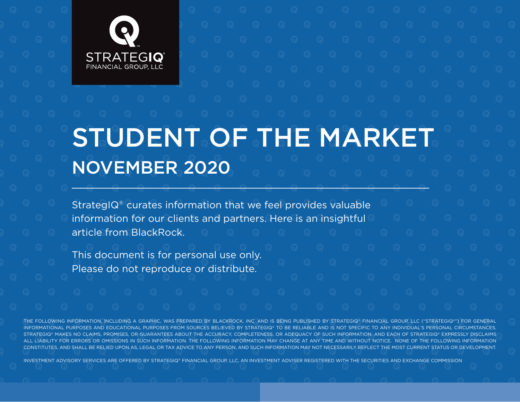

# STUDENT OF THE MARKET NOVEMBER 2020

StrategIQ® curates information that we feel provides valuable information for our clients and partners. Here is an insightful article from BlackRock.

This document is for personal use only. Please do not reproduce or distribute.

THE FOLLOWING INFORMATION, INCLUDING A GRAPHIC, WAS PREPARED BY BLACKROCK, INC. AND IS BEING PUBLISHED BY STRATEGIQ® FINANCIAL GROUP, LLC ("STRATEGIQ®") FOR GENERAL INFORMATIONAL PURPOSES AND EDUCATIONAL PURPOSES FROM SOURCES BELIEVED BY STRATEGIQ® TO BE RELIABLE AND IS NOT SPECIFIC TO ANY INDIVIDUAL'S PERSONAL CIRCUMSTANCES. STRATEGIQ® MAKES NO CLAIMS, PROMISES, OR GUARANTEES ABOUT THE ACCURACY, COMPLETENESS ALL LIABILITY FOR ERRORS OR OMISSIONS IN SUCH INFORMATION. THE FOLLOWING INFORMATION MAY CHANGE AT ANY TIME AND WITHOUT NOTICE. NONE OF THE FOLLOWING INFORMATION CONSTITUTES, AND SHALL BE RELIED UPON AS, LEGAL OR TAX ADVICE TO ANY PERSON, AND SUCH INFORMATION MAY NOT NECESSARILY REFLECT THE MOST CURRENT STATUS OR DEVELOPMENT.

INVESTMENT ADVISORY SERVICES ARE OFFERED BY STRATEGIQ® FINANCIAL GROUP, LLC, AN INVESTMENT ADVISER REGISTERED WITH THE SECURITIES AND EXCHANGE COMMISSION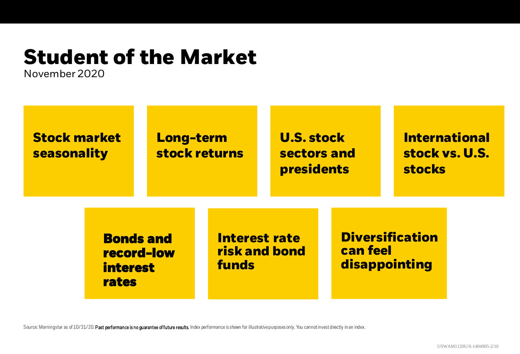## <span id="page-1-0"></span>**Student of the Market**

November 2020



Source: Morningstar as of 10/31/20. Past performance is no quarantee of future results. Index performance is shown for illustrative purposes only. You cannot invest directly in an index.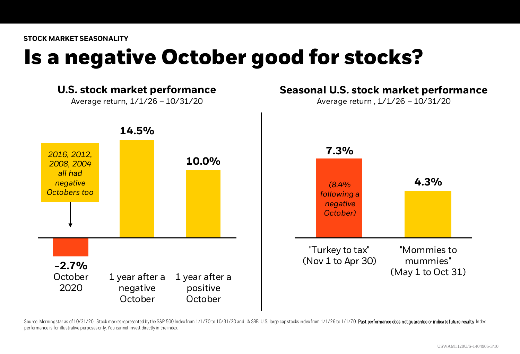### <span id="page-2-0"></span>**Is a negative October good for stocks?**



Source: Morningstar as of 10/31/20. Stock market represented by the S&P 500 Index from 1/1/70 to 10/31/20 and IA SBBI U.S. large cap stocks index from 1/1/26 to 1/1/70. Past performance does not guarantee or indicate futur performance is for illustrative purposes only. You cannot invest directly in the index.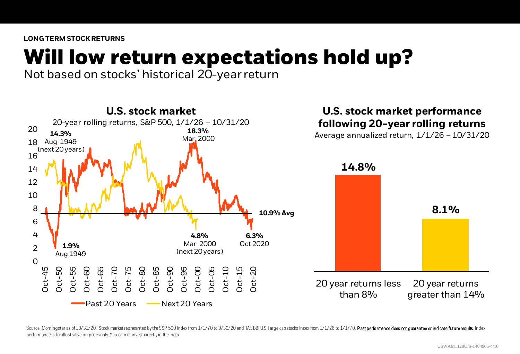### <span id="page-3-0"></span>**Will low return expectations hold up?**

Not based on stocks' historical 20-year return



Source: Morningstar as of 10/31/20. Stock market represented by the S&P 500 Index from 1/1/70 to 9/30/20 and IASBBI U.S. large cap stocks index from 1/1/26 to 1/1/70. Past performance does not guarantee or indicate future performance is for illustrative purposes only. You cannot invest directly in the index.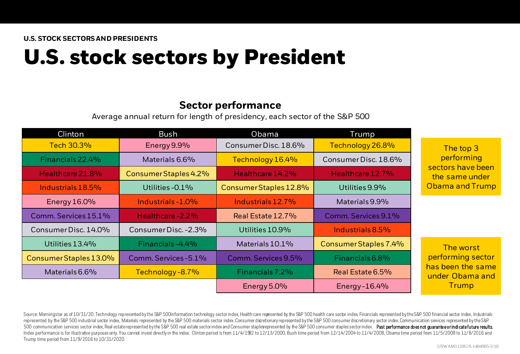### <span id="page-4-0"></span>**U.S. stock sectors by President**

#### **Sector performance**

Average annual return for length of presidency, each sector of the S&P 500

| <b>Clinton</b>         | Bush                  | Obama                  | Trump                 |                                                               |  |
|------------------------|-----------------------|------------------------|-----------------------|---------------------------------------------------------------|--|
| Tech 30.3%             | Energy 9.9%           | Consumer Disc. 18.6%   | Technology 26.8%      | The top 3<br>performing                                       |  |
| Financials 22.4%       | Materials 6.6%        | Technology 16.4%       | Consumer Disc. 18.6%  |                                                               |  |
| Healthcare 21.8%       | Consumer Staples 4.2% | Healthcare 14.2%       | Healthcare 12.7%      | sectors have been<br>the same under<br><b>Obama and Trump</b> |  |
| Industrials 18.5%      | Utilities-0.1%        | Consumer Staples 12.8% | Utilities 9.9%        |                                                               |  |
| Energy 16.0%           | Industrials-1.0%      | Industrials 12.7%      | Materials 9.9%        |                                                               |  |
| Comm. Services 15.1%   | Healthcare-2.2%       | Real Estate 12.7%      | Comm. Services 9.1%   |                                                               |  |
| Consumer Disc. 14.0%   | Consumer Disc. - 2.3% | Utilities 10.9%        | Industrials 8.5%      |                                                               |  |
| Utilities 13.4%        | Financials-4.4%       | Materials 10.1%        | Consumer Staples 7.4% | The worst                                                     |  |
| Consumer Staples 13.0% | Comm. Services - 5.1% | Comm. Services 9.5%    | Financials 6.8%       | performing sector                                             |  |
| Materials 6.6%         | Technology-8.7%       | Financials 7.2%        | Real Estate 6.5%      | has been the same<br>under Obama and                          |  |
|                        |                       | Energy 5.0%            | Energy-16.4%          | <b>Trump</b>                                                  |  |

Source: Morningstar as of 10/31/20. Technology represented by the S&P 500information technology sector index, Health care repesented by the S&P 500 health care sector index, Financials represented by the S&P 500 health car represented by the S&P 500 industrial sector index, Materials represented by the S&P 500 materials sector index, Consumer discretionary represented by the S&P 500 consumer discretionary sector index, Communication services 500 communication services sector index, Real estate represented by the S&P 500 real estate sector index and Consumer staplesepresented by the S&P 500 consumer staples sector index. Past performance does not guarantee or i Index performance is for illustrative purposes only. You cannot invest directly in the index. Clinton period is from 11/4/1992 to 12/13/2000, Bush time period from 12/14/2004 to 11/4/2008, Obama time period from 11/5/2008 Trump time period from 11/9/2016 to 10/31/2020.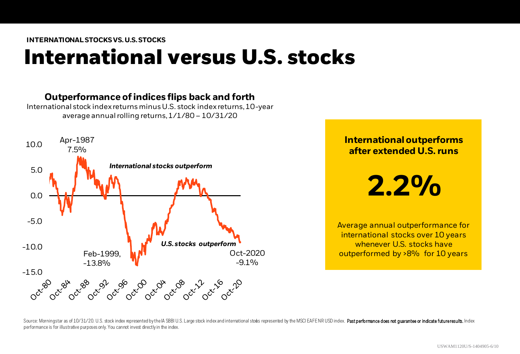### <span id="page-5-0"></span>**International versus U.S. stocks**

#### **Outperformance of indices flips back and forth**

International stock index returns minus U.S. stock index returns, 10-year average annual rolling returns, 1/1/80 – 10/31/20



**International outperforms after extended U.S. runs**

**2.2%**

Average annual outperformance for international stocks over 10 years whenever U.S. stocks have outperformed by >8% for 10 years

Source: Morningstar as of 10/31/20. U.S. stock index represented by the IA SBBI U.S. Large stock index and international stoks represented by the MSCI EAFENR USD index. Past performance does not guarantee or indicate futur performance is for illustrative purposes only. You cannot invest directly in the index.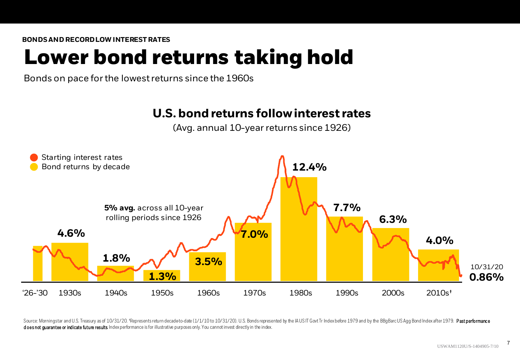### <span id="page-6-0"></span>**Lower bond returns taking hold**

Bonds on pace for the lowest returns since the 1960s

### **U.S. bond returns follow interest rates**

(Avg. annual 10-year returns since 1926)



Source: Morningstar and U.S. Treasury as of 10/31/20. \*Represents return decade to-date (1/1/10 to 10/31/20). U.S. Bonds represented by the IAUSIT Govt Tr Index before 1979 and by the BBgBarcUSAgg Bond Index after 1979. Pa d oes not quarantee or indicate future results. Index performance is for illustrative purposes only. You cannot invest directly in the index.

7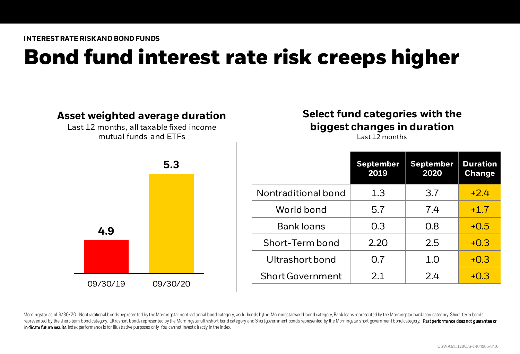### <span id="page-7-0"></span>**Bond fund interest rate risk creeps higher**



Morningstar as of 9/30/20. Nontraditional bonds represented by the Morningstar nontraditional bond category, world bonds by the Morningstar world bond category, Bank loans represented by the Morningstar bank loan category, represented by the short-term bond category, Ultrashort bonds represented by the Morningstar ultrashort bond category and Shortgovernment bonds represented by the Morningstar short government bond category. Past performanc in dicate future results. Index performance is for illustrative purposes only. You cannot invest directly in the index.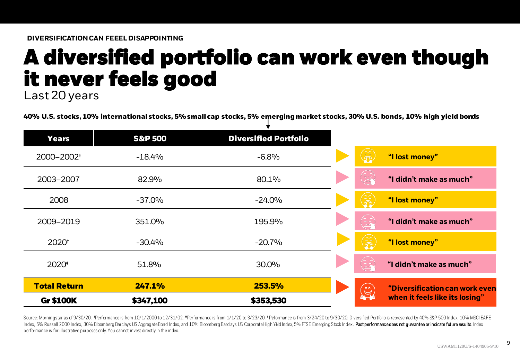### <span id="page-8-0"></span>**A diversified portfolio can work even though it never feels good**

Last 20 years

**40% U.S. stocks, 10% international stocks, 5% small cap stocks, 5% emerging market stocks, 30% U.S. bonds, 10% high yield bonds**

| <b>Years</b>        | <b>S&amp;P 500</b> | <b>Diversified Portfolio</b> |                           |                                |
|---------------------|--------------------|------------------------------|---------------------------|--------------------------------|
| 2000-2002+          | $-18.4%$           | $-6.8%$                      | $\mathfrak{F}$            | "I lost money"                 |
| 2003-2007           | 82.9%              | 80.1%                        | $\widetilde{G}$           | "I didn't make as much"        |
| 2008                | $-37.0%$           | $-24.0%$                     | $\widetilde{\mathcal{D}}$ | "I lost money"                 |
| 2009-2019           | 351.0%             | 195.9%                       | $\widetilde{\mathbb{A}}$  | "I didn't make as much"        |
| 2020 <sup>+</sup>   | $-30.4%$           | $-20.7%$                     | $\widetilde{\mathcal{F}}$ | "I lost money"                 |
| 2020 <sup>+</sup>   | 51.8%              | 30.0%                        | $\widetilde{A}$           | "I didn't make as much"        |
| <b>Total Return</b> | 247.1%             | 253.5%                       | $\mathbb{S}$              | "Diversification can work even |
| <b>Gr \$100K</b>    | \$347,100          | \$353,530                    |                           | when it feels like its losing" |

Source: Morningstar as of 9/30/20. \*Performance is from 10/1/2000 to 12/31/02. \*Performance is from 1/1/20 to 3/23/20. \* Peformance is from 3/24/20 to 9/30/20. Diversified Portfolio is represented by 40% S&P 500 Index, 10% Index, 5% Russell 2000 Index, 30% Bloomberg Barclays US Aggregate Bond Index, and 10% Bloomberg Barclays US Corporate High Yeld Index, 5% FTSE Emerging Stock Index. Past performance does not guarantee or indicate future re performance is for illustrative purposes only. You cannot invest directly in the index.

9